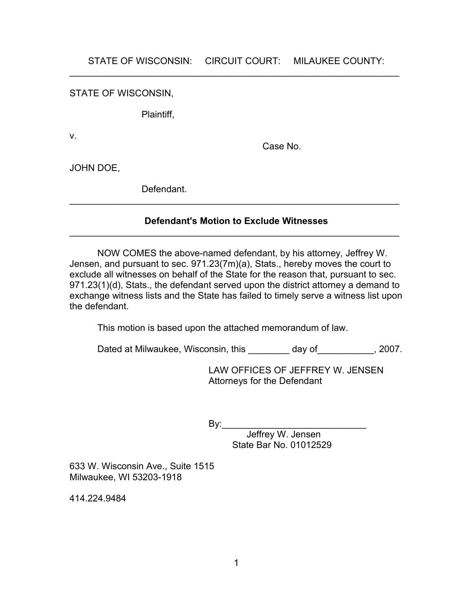STATE OF WISCONSIN: CIRCUIT COURT: MILAUKEE COUNTY:  $\mathcal{L}_\text{max} = \mathcal{L}_\text{max} = \mathcal{L}_\text{max} = \mathcal{L}_\text{max} = \mathcal{L}_\text{max} = \mathcal{L}_\text{max} = \mathcal{L}_\text{max} = \mathcal{L}_\text{max} = \mathcal{L}_\text{max} = \mathcal{L}_\text{max} = \mathcal{L}_\text{max} = \mathcal{L}_\text{max} = \mathcal{L}_\text{max} = \mathcal{L}_\text{max} = \mathcal{L}_\text{max} = \mathcal{L}_\text{max} = \mathcal{L}_\text{max} = \mathcal{L}_\text{max} = \mathcal{$ 

STATE OF WISCONSIN,

Plaintiff,

v.

Case No.

JOHN DOE,

Defendant.

## **Defendant's Motion to Exclude Witnesses**  $\mathcal{L}_\text{max} = \mathcal{L}_\text{max} = \mathcal{L}_\text{max} = \mathcal{L}_\text{max} = \mathcal{L}_\text{max} = \mathcal{L}_\text{max} = \mathcal{L}_\text{max} = \mathcal{L}_\text{max} = \mathcal{L}_\text{max} = \mathcal{L}_\text{max} = \mathcal{L}_\text{max} = \mathcal{L}_\text{max} = \mathcal{L}_\text{max} = \mathcal{L}_\text{max} = \mathcal{L}_\text{max} = \mathcal{L}_\text{max} = \mathcal{L}_\text{max} = \mathcal{L}_\text{max} = \mathcal{$

 $\mathcal{L}_\text{max} = \mathcal{L}_\text{max} = \mathcal{L}_\text{max} = \mathcal{L}_\text{max} = \mathcal{L}_\text{max} = \mathcal{L}_\text{max} = \mathcal{L}_\text{max} = \mathcal{L}_\text{max} = \mathcal{L}_\text{max} = \mathcal{L}_\text{max} = \mathcal{L}_\text{max} = \mathcal{L}_\text{max} = \mathcal{L}_\text{max} = \mathcal{L}_\text{max} = \mathcal{L}_\text{max} = \mathcal{L}_\text{max} = \mathcal{L}_\text{max} = \mathcal{L}_\text{max} = \mathcal{$ 

NOW COMES the above-named defendant, by his attorney, Jeffrey W. Jensen, and pursuant to sec. 971.23(7m)(a), Stats., hereby moves the court to exclude all witnesses on behalf of the State for the reason that, pursuant to sec. 971.23(1)(d), Stats., the defendant served upon the district attorney a demand to exchange witness lists and the State has failed to timely serve a witness list upon the defendant.

This motion is based upon the attached memorandum of law.

Dated at Milwaukee, Wisconsin, this \_\_\_\_\_\_\_\_\_ day of  $\qquad \qquad$  , 2007.

LAW OFFICES OF JEFFREY W. JENSEN Attorneys for the Defendant

By:\_\_\_\_\_\_\_\_\_\_\_\_\_\_\_\_\_\_\_\_\_\_\_\_\_\_\_\_

 Jeffrey W. Jensen State Bar No. 01012529

633 W. Wisconsin Ave., Suite 1515 Milwaukee, WI 53203-1918

414.224.9484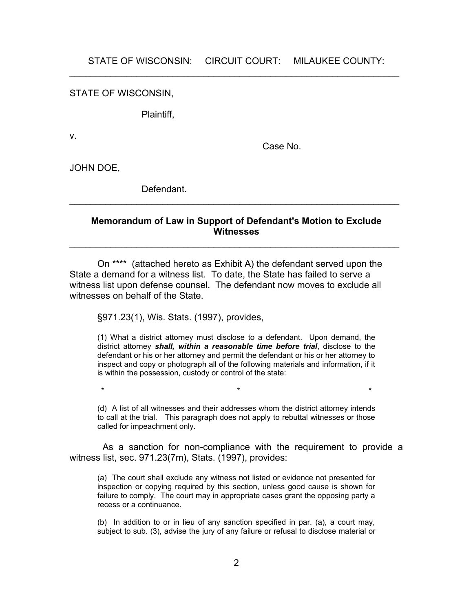STATE OF WISCONSIN: CIRCUIT COURT: MILAUKEE COUNTY:  $\mathcal{L}_\text{max} = \mathcal{L}_\text{max} = \mathcal{L}_\text{max} = \mathcal{L}_\text{max} = \mathcal{L}_\text{max} = \mathcal{L}_\text{max} = \mathcal{L}_\text{max} = \mathcal{L}_\text{max} = \mathcal{L}_\text{max} = \mathcal{L}_\text{max} = \mathcal{L}_\text{max} = \mathcal{L}_\text{max} = \mathcal{L}_\text{max} = \mathcal{L}_\text{max} = \mathcal{L}_\text{max} = \mathcal{L}_\text{max} = \mathcal{L}_\text{max} = \mathcal{L}_\text{max} = \mathcal{$ 

STATE OF WISCONSIN,

Plaintiff,

v.

Case No.

JOHN DOE,

Defendant.

## **Memorandum of Law in Support of Defendant's Motion to Exclude Witnesses**

 $\mathcal{L}_\text{max} = \mathcal{L}_\text{max} = \mathcal{L}_\text{max} = \mathcal{L}_\text{max} = \mathcal{L}_\text{max} = \mathcal{L}_\text{max} = \mathcal{L}_\text{max} = \mathcal{L}_\text{max} = \mathcal{L}_\text{max} = \mathcal{L}_\text{max} = \mathcal{L}_\text{max} = \mathcal{L}_\text{max} = \mathcal{L}_\text{max} = \mathcal{L}_\text{max} = \mathcal{L}_\text{max} = \mathcal{L}_\text{max} = \mathcal{L}_\text{max} = \mathcal{L}_\text{max} = \mathcal{$ 

 $\mathcal{L}_\text{max} = \mathcal{L}_\text{max} = \mathcal{L}_\text{max} = \mathcal{L}_\text{max} = \mathcal{L}_\text{max} = \mathcal{L}_\text{max} = \mathcal{L}_\text{max} = \mathcal{L}_\text{max} = \mathcal{L}_\text{max} = \mathcal{L}_\text{max} = \mathcal{L}_\text{max} = \mathcal{L}_\text{max} = \mathcal{L}_\text{max} = \mathcal{L}_\text{max} = \mathcal{L}_\text{max} = \mathcal{L}_\text{max} = \mathcal{L}_\text{max} = \mathcal{L}_\text{max} = \mathcal{$ 

On \*\*\*\* (attached hereto as Exhibit A) the defendant served upon the State a demand for a witness list. To date, the State has failed to serve a witness list upon defense counsel. The defendant now moves to exclude all witnesses on behalf of the State.

§971.23(1), Wis. Stats. (1997), provides,

(1) What a district attorney must disclose to a defendant. Upon demand, the district attorney *shall, within a reasonable time before trial*, disclose to the defendant or his or her attorney and permit the defendant or his or her attorney to inspect and copy or photograph all of the following materials and information, if it is within the possession, custody or control of the state:

(d) A list of all witnesses and their addresses whom the district attorney intends to call at the trial. This paragraph does not apply to rebuttal witnesses or those called for impeachment only.

 $\star$  \*  $\star$  \*

 As a sanction for non-compliance with the requirement to provide a witness list, sec. 971.23(7m), Stats. (1997), provides:

(a) The court shall exclude any witness not listed or evidence not presented for inspection or copying required by this section, unless good cause is shown for failure to comply. The court may in appropriate cases grant the opposing party a recess or a continuance.

(b) In addition to or in lieu of any sanction specified in par. (a), a court may, subject to sub. (3), advise the jury of any failure or refusal to disclose material or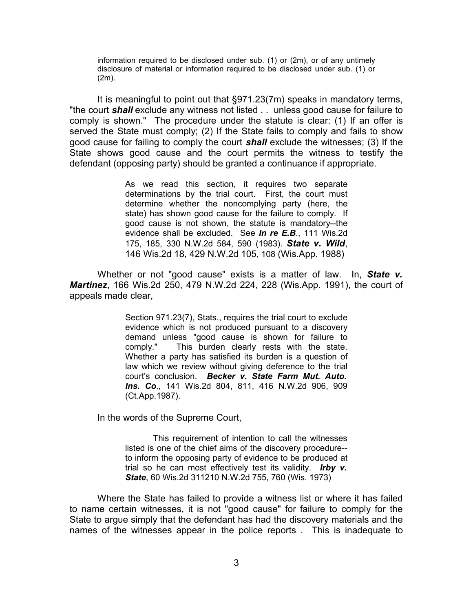information required to be disclosed under sub. (1) or (2m), or of any untimely disclosure of material or information required to be disclosed under sub. (1) or (2m).

It is meaningful to point out that §971.23(7m) speaks in mandatory terms, "the court *shall* exclude any witness not listed . . unless good cause for failure to comply is shown." The procedure under the statute is clear: (1) If an offer is served the State must comply; (2) If the State fails to comply and fails to show good cause for failing to comply the court *shall* exclude the witnesses; (3) If the State shows good cause and the court permits the witness to testify the defendant (opposing party) should be granted a continuance if appropriate.

> As we read this section, it requires two separate determinations by the trial court. First, the court must determine whether the noncomplying party (here, the state) has shown good cause for the failure to comply. If good cause is not shown, the statute is mandatory--the evidence shall be excluded. See *In re E.B*., 111 Wis.2d 175, 185, 330 N.W.2d 584, 590 (1983). *State v. Wild*, 146 Wis.2d 18, 429 N.W.2d 105, 108 (Wis.App. 1988)

Whether or not "good cause" exists is a matter of law. In, *State v. Martinez*, 166 Wis.2d 250, 479 N.W.2d 224, 228 (Wis.App. 1991), the court of appeals made clear,

> Section 971.23(7), Stats., requires the trial court to exclude evidence which is not produced pursuant to a discovery demand unless "good cause is shown for failure to comply." This burden clearly rests with the state. Whether a party has satisfied its burden is a question of law which we review without giving deference to the trial court's conclusion. *Becker v. State Farm Mut. Auto. Ins. Co*., 141 Wis.2d 804, 811, 416 N.W.2d 906, 909 (Ct.App.1987).

In the words of the Supreme Court,

This requirement of intention to call the witnesses listed is one of the chief aims of the discovery procedure- to inform the opposing party of evidence to be produced at trial so he can most effectively test its validity. *Irby v. State*, 60 Wis.2d 311210 N.W.2d 755, 760 (Wis. 1973)

Where the State has failed to provide a witness list or where it has failed to name certain witnesses, it is not "good cause" for failure to comply for the State to argue simply that the defendant has had the discovery materials and the names of the witnesses appear in the police reports . This is inadequate to